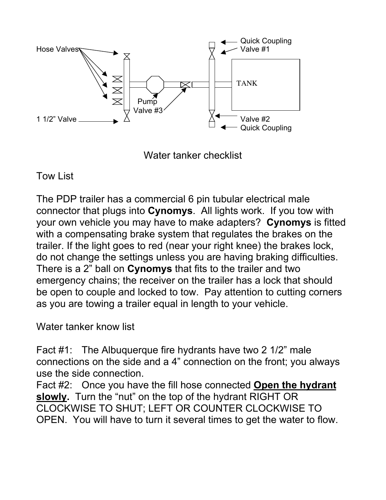

Water tanker checklist

Tow List

The PDP trailer has a commercial 6 pin tubular electrical male connector that plugs into **Cynomys**. All lights work. If you tow with your own vehicle you may have to make adapters? **Cynomys** is fitted with a compensating brake system that regulates the brakes on the trailer. If the light goes to red (near your right knee) the brakes lock, do not change the settings unless you are having braking difficulties. There is a 2" ball on **Cynomys** that fits to the trailer and two emergency chains; the receiver on the trailer has a lock that should be open to couple and locked to tow. Pay attention to cutting corners as you are towing a trailer equal in length to your vehicle.

Water tanker know list

Fact #1: The Albuquerque fire hydrants have two 2 1/2" male connections on the side and a 4" connection on the front; you always use the side connection.

Fact #2: Once you have the fill hose connected **Open the hydrant slowly.** Turn the "nut" on the top of the hydrant RIGHT OR CLOCKWISE TO SHUT; LEFT OR COUNTER CLOCKWISE TO OPEN. You will have to turn it several times to get the water to flow.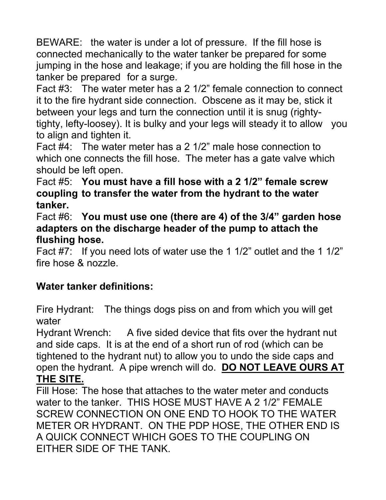BEWARE: the water is under a lot of pressure. If the fill hose is connected mechanically to the water tanker be prepared for some jumping in the hose and leakage; if you are holding the fill hose in the tanker be prepared for a surge.

Fact #3: The water meter has a 2 1/2" female connection to connect it to the fire hydrant side connection. Obscene as it may be, stick it between your legs and turn the connection until it is snug (rightytighty, lefty-loosey). It is bulky and your legs will steady it to allow you to align and tighten it.

Fact #4: The water meter has a 2 1/2" male hose connection to which one connects the fill hose. The meter has a gate valve which should be left open.

Fact #5: **You must have a fill hose with a 2 1/2" female screw coupling to transfer the water from the hydrant to the water tanker.**

Fact #6: **You must use one (there are 4) of the 3/4" garden hose adapters on the discharge header of the pump to attach the flushing hose.**

Fact #7: If you need lots of water use the 1 1/2" outlet and the 1 1/2" fire hose & nozzle.

## **Water tanker definitions:**

Fire Hydrant: The things dogs piss on and from which you will get water

Hydrant Wrench: A five sided device that fits over the hydrant nut and side caps. It is at the end of a short run of rod (which can be tightened to the hydrant nut) to allow you to undo the side caps and open the hydrant. A pipe wrench will do. **DO NOT LEAVE OURS AT THE SITE.**

Fill Hose: The hose that attaches to the water meter and conducts water to the tanker. THIS HOSE MUST HAVE A 2 1/2" FEMALE SCREW CONNECTION ON ONE END TO HOOK TO THE WATER METER OR HYDRANT. ON THE PDP HOSE, THE OTHER END IS A QUICK CONNECT WHICH GOES TO THE COUPLING ON EITHER SIDE OF THE TANK.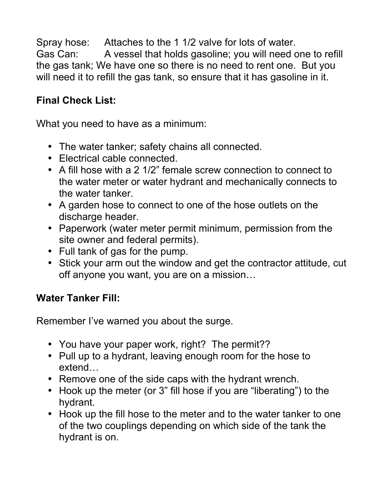Spray hose: Attaches to the 1 1/2 valve for lots of water. Gas Can: A vessel that holds gasoline; you will need one to refill the gas tank; We have one so there is no need to rent one. But you will need it to refill the gas tank, so ensure that it has gasoline in it.

## **Final Check List:**

What you need to have as a minimum:

- The water tanker; safety chains all connected.
- Electrical cable connected.
- A fill hose with a 2 1/2" female screw connection to connect to the water meter or water hydrant and mechanically connects to the water tanker.
- A garden hose to connect to one of the hose outlets on the discharge header.
- Paperwork (water meter permit minimum, permission from the site owner and federal permits).
- Full tank of gas for the pump.
- Stick your arm out the window and get the contractor attitude, cut off anyone you want, you are on a mission…

## **Water Tanker Fill:**

Remember I've warned you about the surge.

- You have your paper work, right? The permit??
- Pull up to a hydrant, leaving enough room for the hose to extend…
- Remove one of the side caps with the hydrant wrench.
- Hook up the meter (or 3" fill hose if you are "liberating") to the hydrant.
- Hook up the fill hose to the meter and to the water tanker to one of the two couplings depending on which side of the tank the hydrant is on.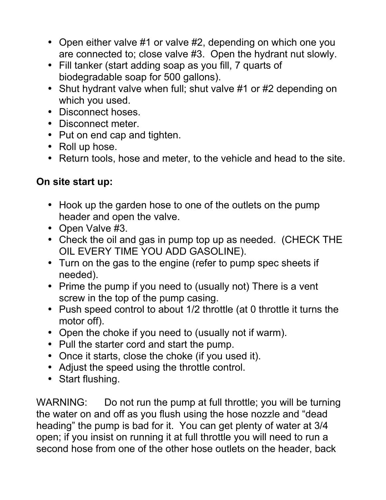- Open either valve #1 or valve #2, depending on which one you are connected to; close valve #3. Open the hydrant nut slowly.
- Fill tanker (start adding soap as you fill, 7 quarts of biodegradable soap for 500 gallons).
- Shut hydrant valve when full; shut valve #1 or #2 depending on which you used.
- Disconnect hoses.
- Disconnect meter.
- Put on end cap and tighten.
- Roll up hose.
- Return tools, hose and meter, to the vehicle and head to the site.

## **On site start up:**

- Hook up the garden hose to one of the outlets on the pump header and open the valve.
- Open Valve #3.
- Check the oil and gas in pump top up as needed. (CHECK THE OIL EVERY TIME YOU ADD GASOLINE).
- Turn on the gas to the engine (refer to pump spec sheets if needed).
- Prime the pump if you need to (usually not) There is a vent screw in the top of the pump casing.
- Push speed control to about 1/2 throttle (at 0 throttle it turns the motor off).
- Open the choke if you need to (usually not if warm).
- Pull the starter cord and start the pump.
- Once it starts, close the choke (if you used it).
- Adjust the speed using the throttle control.
- Start flushing.

WARNING: Do not run the pump at full throttle; you will be turning the water on and off as you flush using the hose nozzle and "dead heading" the pump is bad for it. You can get plenty of water at 3/4 open; if you insist on running it at full throttle you will need to run a second hose from one of the other hose outlets on the header, back